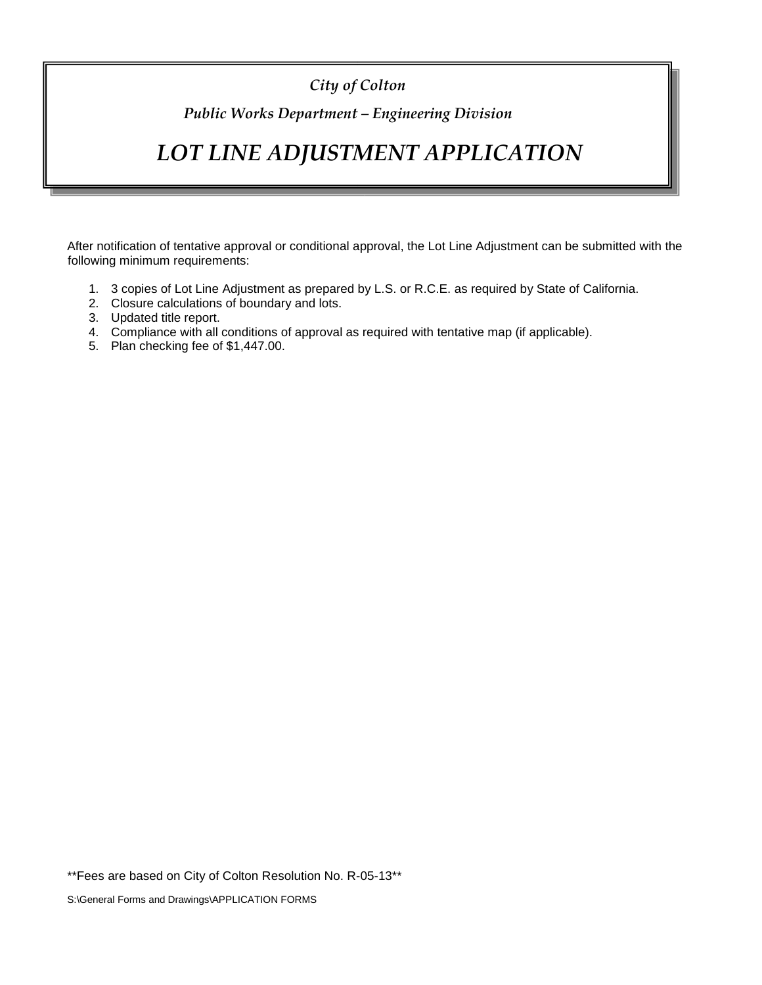## *City of Colton*

## *Public Works Department – Engineering Division*

# *LOT LINE ADJUSTMENT APPLICATION*

After notification of tentative approval or conditional approval, the Lot Line Adjustment can be submitted with the following minimum requirements:

- 1. 3 copies of Lot Line Adjustment as prepared by L.S. or R.C.E. as required by State of California.
- 2. Closure calculations of boundary and lots.
- 3. Updated title report.
- 4. Compliance with all conditions of approval as required with tentative map (if applicable).
- 5. Plan checking fee of \$1,447.00.

\*\*Fees are based on City of Colton Resolution No. R-05-13\*\*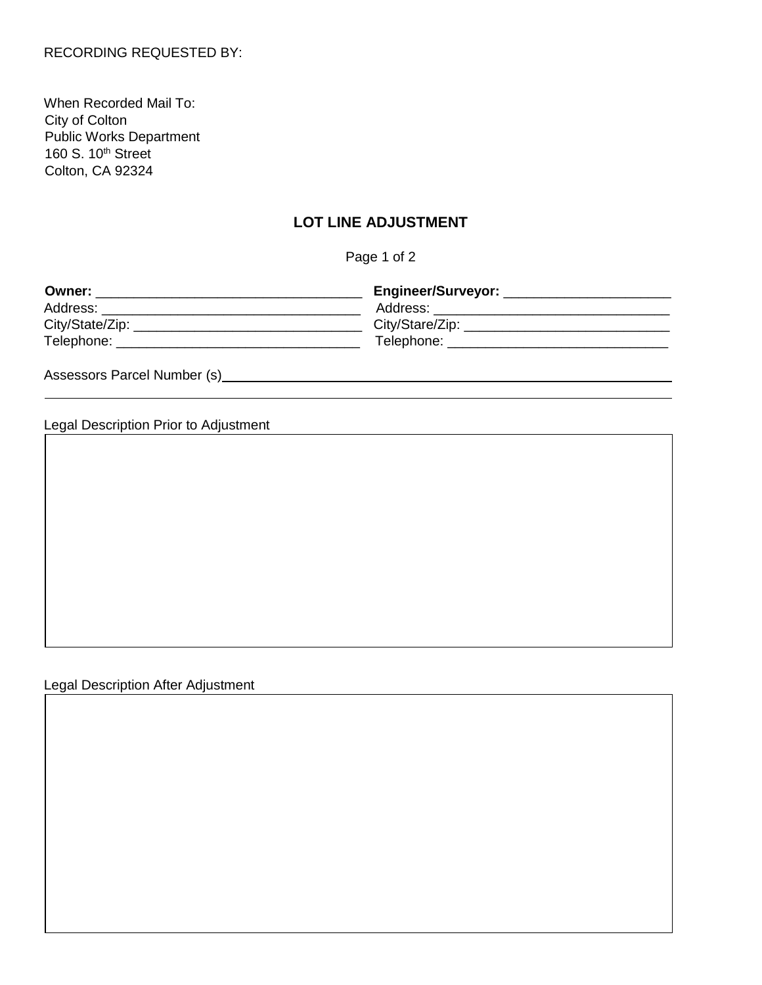When Recorded Mail To: City of Colton Public Works Department 160 S. 10<sup>th</sup> Street Colton, CA 92324

### **LOT LINE ADJUSTMENT**

Page 1 of 2

| Owner:          | Engineer/Surveyor: |
|-----------------|--------------------|
| Address:        | Address:           |
| City/State/Zip: | City/Stare/Zip:    |
| Telephone:      | Telephone:         |

Assessors Parcel Number (s) Manual Assessors Parcel Number (s) Assessors Parcel Number (s)

Legal Description Prior to Adjustment

Legal Description After Adjustment